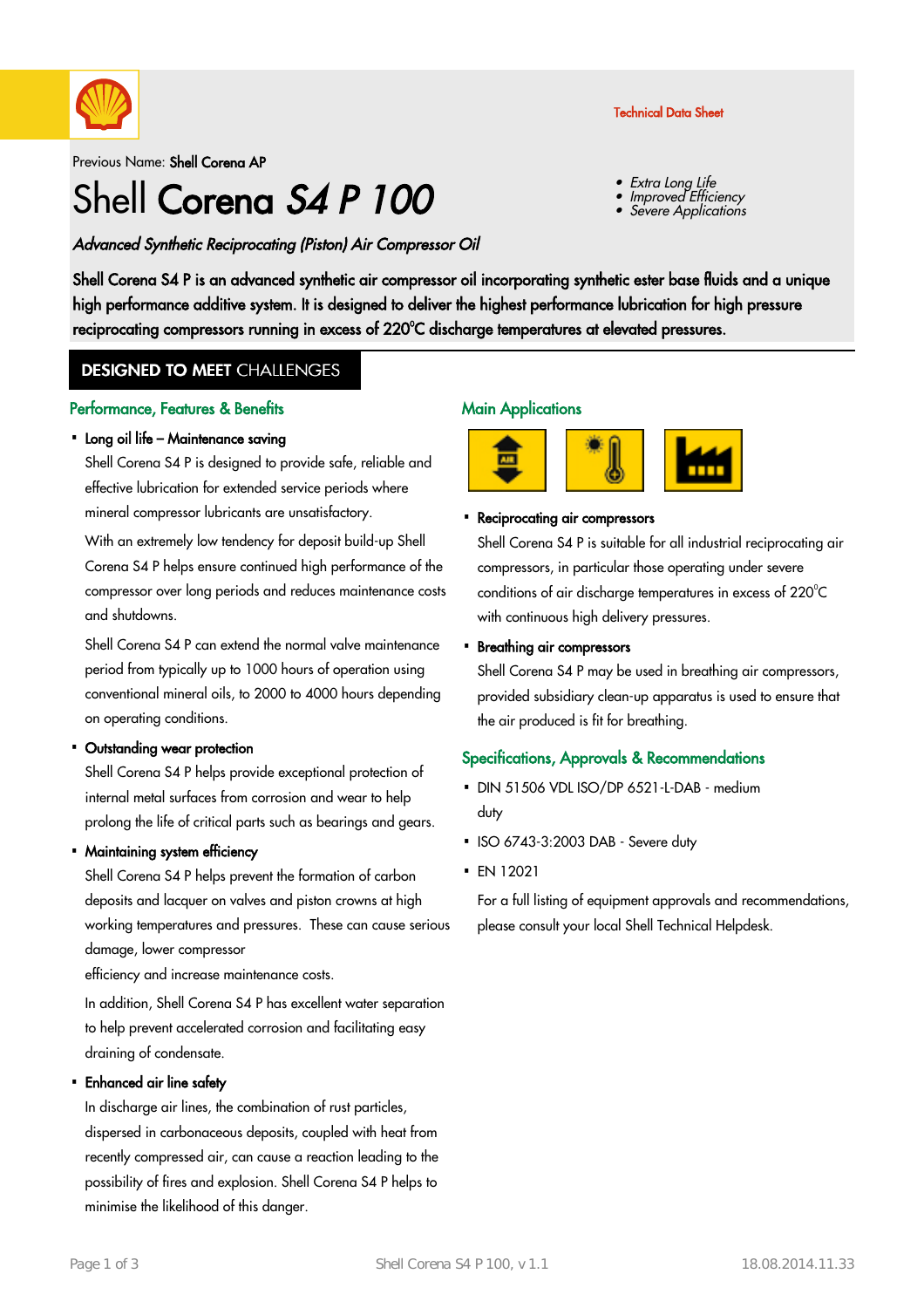

Previous Name: Shell Corena AP

# Shell Corena S4 P 100

#### Advanced Synthetic Reciprocating (Piston) Air Compressor Oil

Shell Corena S4 P is an advanced synthetic air compressor oil incorporating synthetic ester base fluids and a unique high performance additive system. It is designed to deliver the highest performance lubrication for high pressure reciprocating compressors running in excess of 220°C discharge temperatures at elevated pressures.

### **DESIGNED TO MEET CHALLENGES**

#### Performance, Features & Benefits

#### • Long oil life – Maintenance saving

Shell Corena S4 P is designed to provide safe, reliable and effective lubrication for extended service periods where mineral compressor lubricants are unsatisfactory.

With an extremely low tendency for deposit build-up Shell Corena S4 P helps ensure continued high performance of the compressor over long periods and reduces maintenance costs and shutdowns.

Shell Corena S4 P can extend the normal valve maintenance period from typically up to 1000 hours of operation using conventional mineral oils, to 2000 to 4000 hours depending on operating conditions.

#### • Outstanding wear protection

Shell Corena S4 P helps provide exceptional protection of internal metal surfaces from corrosion and wear to help prolong the life of critical parts such as bearings and gears.

#### • Maintaining system efficiency

Shell Corena S4 P helps prevent the formation of carbon deposits and lacquer on valves and piston crowns at high working temperatures and pressures. These can cause serious damage, lower compressor

efficiency and increase maintenance costs.

In addition, Shell Corena S4 P has excellent water separation to help prevent accelerated corrosion and facilitating easy draining of condensate.

#### Enhanced air line safety ·

In discharge air lines, the combination of rust particles, dispersed in carbonaceous deposits, coupled with heat from recently compressed air, can cause a reaction leading to the possibility of fires and explosion. Shell Corena S4 P helps to minimise the likelihood of this danger.

#### **Main Applications**





# • Reciprocating air compressors

Shell Corena S4 P is suitable for all industrial reciprocating air compressors, in particular those operating under severe conditions of air discharge temperatures in excess of 220°C with continuous high delivery pressures.

Technical Data Sheet

Extra Long Life

Improved Efficiency

Severe Applications

#### Breathing air compressors ·

Shell Corena S4 P may be used in breathing air compressors, provided subsidiary clean-up apparatus is used to ensure that the air produced is fit for breathing.

#### Specifications, Approvals & Recommendations

- DIN 51506 VDL ISO/DP 6521-L-DAB medium duty
- ISO 6743-3:2003 DAB Severe duty
- EN 12021 ·

For a full listing of equipment approvals and recommendations, please consult your local Shell Technical Helpdesk.

•

•

•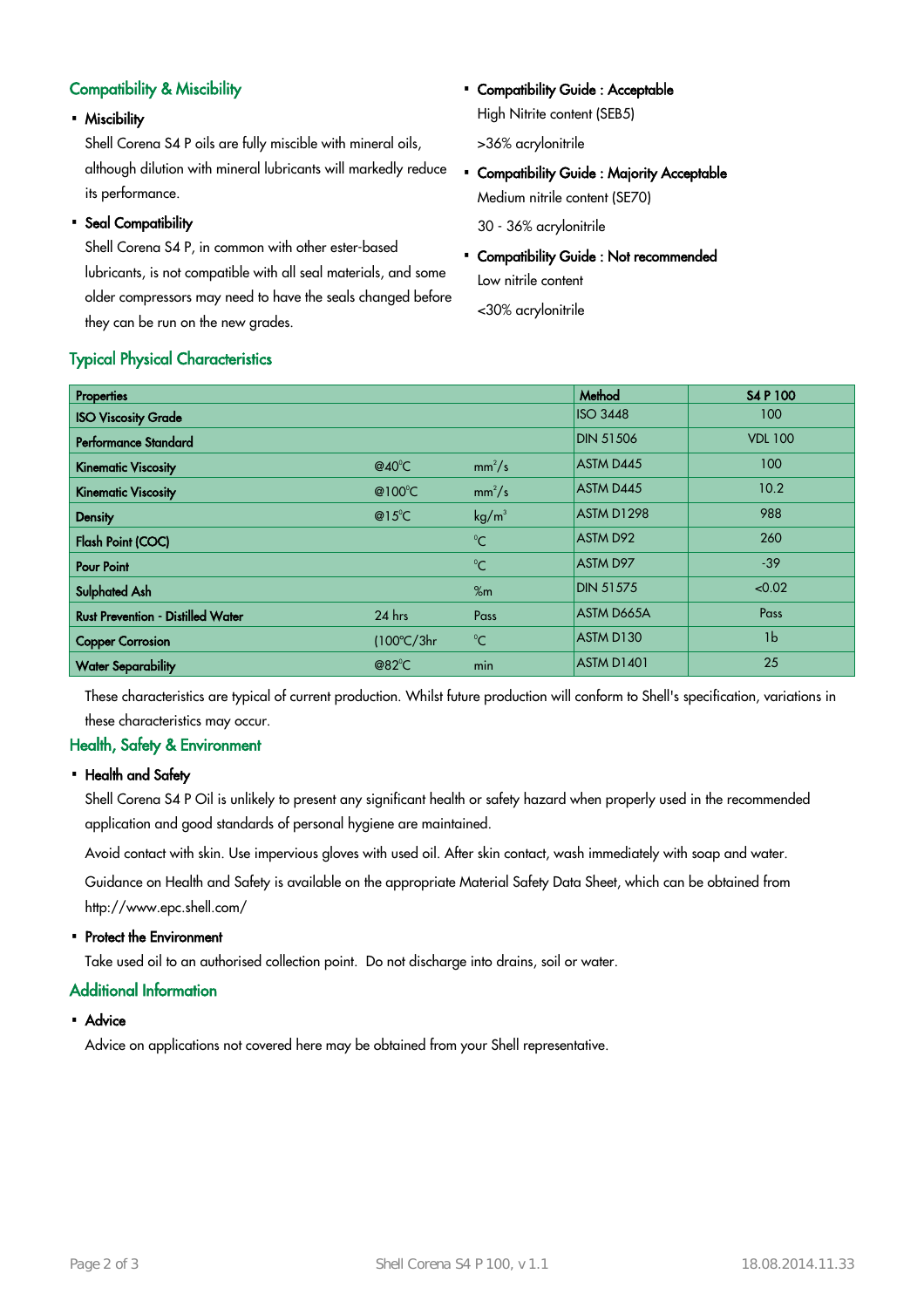#### Compatibility & Miscibility

Miscibility ·

Shell Corena S4 P oils are fully miscible with mineral oils, although dilution with mineral lubricants will markedly reduce its performance.

# • Seal Compatibility

Typical Physical Characteristics

Shell Corena S4 P, in common with other ester-based lubricants, is not compatible with all seal materials, and some older compressors may need to have the seals changed before they can be run on the new grades.

#### • Compatibility Guide : Acceptable High Nitrite content (SEB5)

>36% acrylonitrile

• Compatibility Guide : Majority Acceptable Medium nitrile content (SE70)

30 - 36% acrylonitrile

Compatibility Guide : Not recommended Low nitrile content

<30% acrylonitrile

| <b>Properties</b>                        |                      |                   | Method           | <b>S4 P 100</b> |
|------------------------------------------|----------------------|-------------------|------------------|-----------------|
| <b>ISO Viscosity Grade</b>               |                      |                   | <b>ISO 3448</b>  | 100             |
| Performance Standard                     |                      |                   | <b>DIN 51506</b> | <b>VDL 100</b>  |
| <b>Kinematic Viscosity</b>               | @40 $^{\circ}$ C     | $mm^2/s$          | ASTM D445        | 100             |
| <b>Kinematic Viscosity</b>               | @100 $^{\circ}$ C    | $mm^2/s$          | ASTM D445        | 10.2            |
| <b>Density</b>                           | @15 $^{\circ}$ C     | kg/m <sup>3</sup> | ASTM D1298       | 988             |
| Flash Point (COC)                        |                      | $^{\circ}C$       | <b>ASTM D92</b>  | 260             |
| <b>Pour Point</b>                        |                      | $^{\circ}$ C      | ASTM D97         | $-39$           |
| <b>Sulphated Ash</b>                     |                      | %m                | <b>DIN 51575</b> | < 0.02          |
| <b>Rust Prevention - Distilled Water</b> | 24 hrs               | Pass              | ASTM D665A       | Pass            |
| <b>Copper Corrosion</b>                  | $(100^{\circ}C/3hr)$ | $^{\circ}C$       | ASTM D130        | 1 <sub>b</sub>  |
| <b>Water Separability</b>                | @82 $^{\circ}$ C     | min               | ASTM D1401       | 25              |

These characteristics are typical of current production. Whilst future production will conform to Shell's specification, variations in these characteristics may occur.

#### Health, Safety & Environment

#### • Health and Safety

Shell Corena S4 P Oil is unlikely to present any significant health or safety hazard when properly used in the recommended application and good standards of personal hygiene are maintained.

Avoid contact with skin. Use impervious gloves with used oil. After skin contact, wash immediately with soap and water.

Guidance on Health and Safety is available on the appropriate Material Safety Data Sheet, which can be obtained from http://www.epc.shell.com/

# • Protect the Environment

Take used oil to an authorised collection point. Do not discharge into drains, soil or water.

#### Additional Information

# • Advice

Advice on applications not covered here may be obtained from your Shell representative.